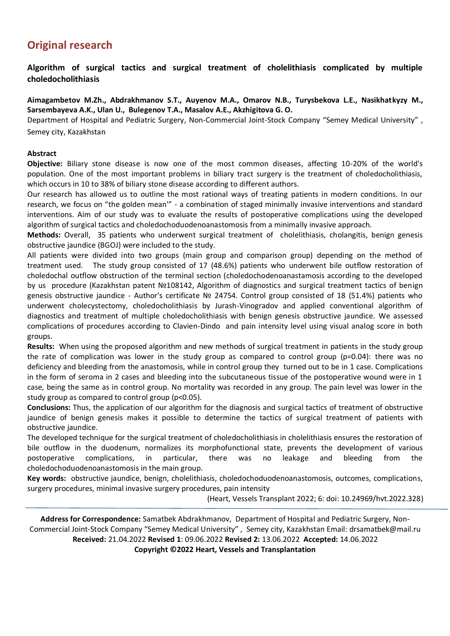# **Original research**

**Algorithm of surgical tactics and surgical treatment of cholelithiasis complicated by multiple choledocholithiasis**

**Aimagambetov M.Zh., Abdrakhmanov S.T., Auyenov M.A., Omarov N.B., Turysbekova L.E., Nasikhatkyzy M., Sarsembayeva A.K., Ulan U., Bulegenov T.A., Masalov A.E., Akzhigitova G. O.**

Department of Hospital and Pediatric Surgery, Non-Commercial Joint-Stock Company "Semey Medical University" , Semey city, Kazakhstan

#### **Abstract**

**Objective:** Biliary stone disease is now one of the most common diseases, affecting 10-20% of the world's population. One of the most important problems in biliary tract surgery is the treatment of choledocholithiasis, which occurs in 10 to 38% of biliary stone disease according to different authors.

Our research has allowed us to outline the most rational ways of treating patients in modern conditions. In our research, we focus on "the golden mean'" - a combination of staged minimally invasive interventions and standard interventions. Aim of our study was to evaluate the results of postoperative complications using the developed algorithm of surgical tactics and choledochoduodenoanastomosis from a minimally invasive approach.

**Methods:** Overall, 35 patients who underwent surgical treatment of cholelithiasis, cholangitis, benign genesis obstructive jaundice (BGOJ) were included to the study.

All patients were divided into two groups (main group and comparison group) depending on the method of treatment used. The study group consisted of 17 (48.6%) patients who underwent bile outflow restoration of choledochal outflow obstruction of the terminal section (choledochodenoanastamosis according to the developed by us procedure (Kazakhstan patent №108142, Algorithm of diagnostics and surgical treatment tactics of benign genesis obstructive jaundice - Author's certificate № 24754. Control group consisted of 18 (51.4%) patients who underwent cholecystectomy, choledocholithiasis by Jurash-Vinogradov and applied conventional algorithm of diagnostics and treatment of multiple choledocholithiasis with benign genesis obstructive jaundice. We assessed complications of procedures according to Clavien-Dindo and pain intensity level using visual analog score in both groups.

**Results:** When using the proposed algorithm and new methods of surgical treatment in patients in the study group the rate of complication was lower in the study group as compared to control group (p=0.04): there was no deficiency and bleeding from the anastomosis, while in control group they turned out to be in 1 case. Complications in the form of seroma in 2 cases and bleeding into the subcutaneous tissue of the postoperative wound were in 1 case, being the same as in control group. No mortality was recorded in any group. The pain level was lower in the study group as compared to control group (p<0.05).

**Conclusions:** Thus, the application of our algorithm for the diagnosis and surgical tactics of treatment of obstructive jaundice of benign genesis makes it possible to determine the tactics of surgical treatment of patients with obstructive jaundice.

The developed technique for the surgical treatment of choledocholithiasis in cholelithiasis ensures the restoration of bile outflow in the duodenum, normalizes its morphofunctional state, prevents the development of various postoperative complications, in particular, there was no leakage and bleeding from the choledochoduodenoanastomosis in the main group.

**Key words:** obstructive jaundice, benign, cholelithiasis, choledochoduodenoanastomosis, outcomes, complications, surgery procedures, minimal invasive surgery procedures, pain intensity

(Heart, Vessels Transplant 2022; 6: doi: 10.24969/hvt.2022.328)

**Address for Correspondence:** Samatbek Abdrakhmanov, Department of Hospital and Pediatric Surgery, Non-Commercial Joint-Stock Company "Semey Medical University" , Semey city, Kazakhstan Email: drsamatbek@mail.ru **Received:** 21.04.2022 **Revised 1**: 09.06.2022 **Revised 2:** 13.06.2022 **Accepted:** 14.06.2022

**Copyright ©2022 Heart, Vessels and Transplantation**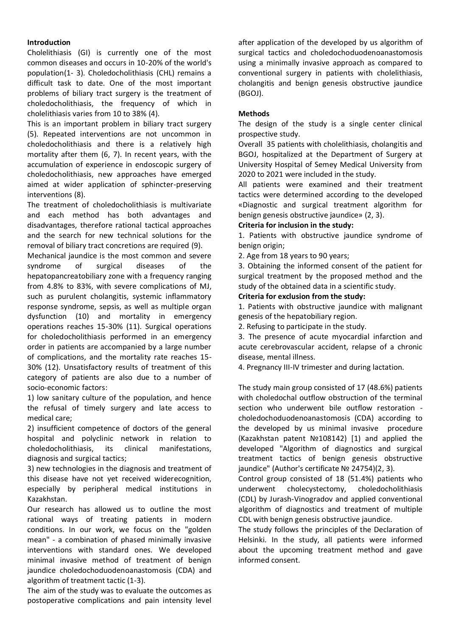#### **Introduction**

Cholelithiasis (GI) is currently one of the most common diseases and occurs in 10-20% of the world's population(1- 3). Choledocholithiasis (CHL) remains a difficult task to date. One of the most important problems of biliary tract surgery is the treatment of choledocholithiasis, the frequency of which in cholelithiasis varies from 10 to 38% (4).

This is an important problem in biliary tract surgery (5). Repeated interventions are not uncommon in choledocholithiasis and there is a relatively high mortality after them (6, 7). In recent years, with the accumulation of experience in endoscopic surgery of choledocholithiasis, new approaches have emerged aimed at wider application of sphincter-preserving interventions (8).

The treatment of choledocholithiasis is multivariate and each method has both advantages and disadvantages, therefore rational tactical approaches and the search for new technical solutions for the removal of biliary tract concretions are required (9).

Mechanical jaundice is the most common and severe syndrome of surgical diseases of the hepatopancreatobiliary zone with a frequency ranging from 4.8% to 83%, with severe complications of MJ, such as purulent cholangitis, systemic inflammatory response syndrome, sepsis, as well as multiple organ dysfunction (10) and mortality in emergency operations reaches 15-30% (11). Surgical operations for choledocholithiasis performed in an emergency order in patients are accompanied by a large number of complications, and the mortality rate reaches 15- 30% (12). Unsatisfactory results of treatment of this category of patients are also due to a number of socio-economic factors:

1) low sanitary culture of the population, and hence the refusal of timely surgery and late access to medical care;

2) insufficient competence of doctors of the general hospital and polyclinic network in relation to choledocholithiasis, its clinical manifestations, diagnosis and surgical tactics;

3) new technologies in the diagnosis and treatment of this disease have not yet received widerecognition, especially by peripheral medical institutions in Kazakhstan.

Our research has allowed us to outline the most rational ways of treating patients in modern conditions. In our work, we focus on the "golden mean" - a combination of phased minimally invasive interventions with standard ones. We developed minimal invasive method of treatment of benign jaundice choledochoduodenoanastomosis (CDA) and algorithm of treatment tactic (1-3).

The aim of the study was to evaluate the outcomes as postoperative complications and pain intensity level after application of the developed by us algorithm of surgical tactics and choledochoduodenoanastomosis using a minimally invasive approach as compared to conventional surgery in patients with cholelithiasis, cholangitis and benign genesis obstructive jaundice (BGOJ).

#### **Methods**

The design of the study is a single center clinical prospective study.

Overall 35 patients with cholelithiasis, cholangitis and BGOJ, hospitalized at the Department of Surgery at University Hospital of Semey Medical University from 2020 to 2021 were included in the study.

All patients were examined and their treatment tactics were determined according to the developed «Diagnostic and surgical treatment algorithm for benign genesis obstructive jaundice» (2, 3).

#### **Criteria for inclusion in the study:**

1. Patients with obstructive jaundice syndrome of benign origin;

2. Age from 18 years to 90 years;

3. Obtaining the informed consent of the patient for surgical treatment by the proposed method and the study of the obtained data in a scientific study.

#### **Criteria for exclusion from the study:**

1. Patients with obstructive jaundice with malignant genesis of the hepatobiliary region.

2. Refusing to participate in the study.

3. The presence of acute myocardial infarction and acute cerebrovascular accident, relapse of a chronic disease, mental illness.

4. Pregnancy III-IV trimester and during lactation.

The study main group consisted of 17 (48.6%) patients with choledochal outflow obstruction of the terminal section who underwent bile outflow restoration choledochoduodenoanastomosis (CDA) according to the developed by us minimal invasive procedure (Kazakhstan patent №108142) [1) and applied the developed "Algorithm of diagnostics and surgical treatment tactics of benign genesis obstructive jaundice" (Author's certificate № 24754)(2, 3).

Control group consisted of 18 (51.4%) patients who underwent cholecystectomy, choledocholithiasis (CDL) by Jurash-Vinogradov and applied conventional algorithm of diagnostics and treatment of multiple CDL with benign genesis obstructive jaundice.

The study follows the principles of the Declaration of Helsinki. In the study, all patients were informed about the upcoming treatment method and gave informed consent.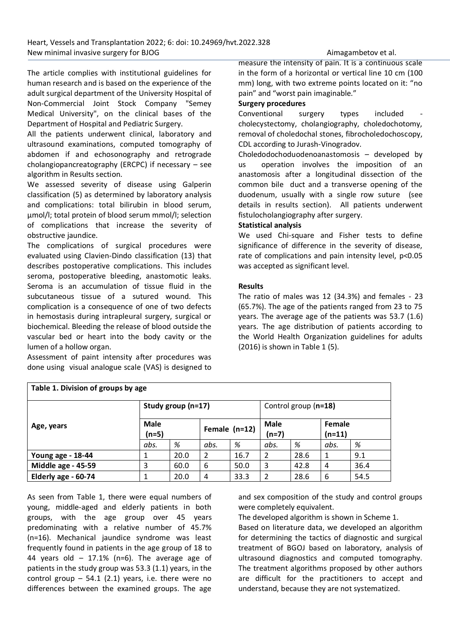The article complies with institutional guidelines for human research and is based on the experience of the adult surgical department of the University Hospital of Non-Commercial Joint Stock Company "Semey Medical University", on the clinical bases of the Department of Hospital and Pediatric Surgery.

All the patients underwent clinical, laboratory and ultrasound examinations, computed tomography of abdomen if and echosonography and retrograde cholangiopancreatography (ERCPC) if necessary – see algorithm in Results section.

We assessed severity of disease using Galperin classification (5) as determined by laboratory analysis and complications: total bilirubin in blood serum, µmol/l; total protein of blood serum mmol/l; selection of complications that increase the severity of obstructive jaundice.

The complications of surgical procedures were evaluated using Clavien-Dindo classification (13) that describes postoperative complications. This includes seroma, postoperative bleeding, anastomotic leaks. Seroma is an accumulation of tissue fluid in the subcutaneous tissue of a sutured wound. This complication is a consequence of one of two defects in hemostasis during intrapleural surgery, surgical or biochemical. Bleeding the release of blood outside the vascular bed or heart into the body cavity or the lumen of a hollow organ.

Assessment of paint intensity after procedures was done using visual analogue scale (VAS) is designed to measure the intensity of pain. It is a continuous scale in the form of a horizontal or vertical line 10 cm (100 mm) long, with two extreme points located on it: "no pain" and "worst pain imaginable."

#### **Surgery procedures**

Conventional surgery types included cholecystectomy, cholangiography, choledochotomy, removal of choledochal stones, fibrocholedochoscopy, CDL according to Jurash-Vinogradov.

Choledodochoduodenoanastomosis – developed by us operation involves the imposition of an anastomosis after a longitudinal dissection of the common bile duct and a transverse opening of the duodenum, usually with a single row suture (see details in results section). All patients underwent fistulocholangiography after surgery.

## **Statistical analysis**

We used Chi-square and Fisher tests to define significance of difference in the severity of disease, rate of complications and pain intensity level, p<0.05 was accepted as significant level.

#### **Results**

The ratio of males was 12 (34.3%) and females - 23 (65.7%). The age of the patients ranged from 23 to 75 years. The average age of the patients was 53.7 (1.6) years. The age distribution of patients according to the World Health Organization guidelines for adults (2016) is shown in Table 1 (5).

| Table 1. Division of groups by age |                                            |      |               |      |                        |      |                    |      |
|------------------------------------|--------------------------------------------|------|---------------|------|------------------------|------|--------------------|------|
|                                    | Study group (n=17)<br>Control group (n=18) |      |               |      |                        |      |                    |      |
| Age, years                         | Male<br>$(n=5)$                            |      | Female (n=12) |      | <b>Male</b><br>$(n=7)$ |      | Female<br>$(n=11)$ |      |
|                                    | abs.                                       | %    | abs.          | %    | abs.                   | %    | abs.               | %    |
| Young age - 18-44                  | 1                                          | 20.0 | 2             | 16.7 | 2                      | 28.6 | 1                  | 9.1  |
| Middle age - 45-59                 | 3                                          | 60.0 | 6             | 50.0 | 3                      | 42.8 | 4                  | 36.4 |
| Elderly age - 60-74                | 1                                          | 20.0 | 4             | 33.3 | $\overline{2}$         | 28.6 | 6                  | 54.5 |

As seen from Table 1, there were equal numbers of young, middle-aged and elderly patients in both groups, with the age group over 45 years predominating with a relative number of 45.7% (n=16). Mechanical jaundice syndrome was least frequently found in patients in the age group of 18 to 44 years old  $-$  17.1% (n=6). The average age of patients in the study group was 53.3 (1.1) years, in the control group  $-$  54.1 (2.1) years, i.e. there were no differences between the examined groups. The age

and sex composition of the study and control groups were completely equivalent.

The developed algorithm is shown in Scheme 1. Based on literature data, we developed an algorithm for determining the tactics of diagnostic and surgical treatment of BGOJ based on laboratory, analysis of ultrasound diagnostics and computed tomography. The treatment algorithms proposed by other authors are difficult for the practitioners to accept and understand, because they are not systematized.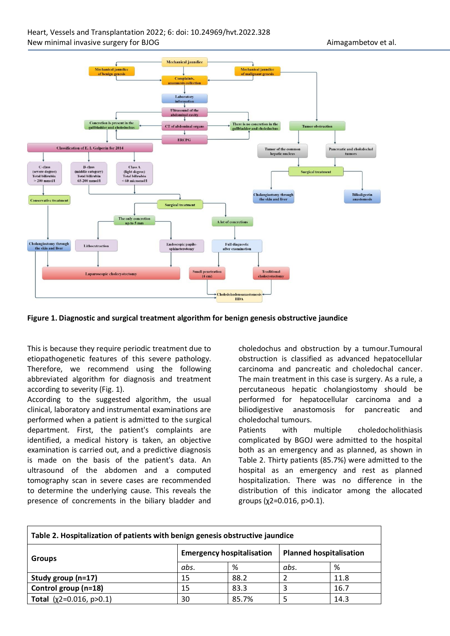

#### **Figure 1. Diagnostic and surgical treatment algorithm for benign genesis obstructive jaundice**

This is because they require periodic treatment due to etiopathogenetic features of this severe pathology. Therefore, we recommend using the following abbreviated algorithm for diagnosis and treatment according to severity (Fig. 1).

According to the suggested algorithm, the usual clinical, laboratory and instrumental examinations are performed when a patient is admitted to the surgical department. First, the patient's complaints are identified, a medical history is taken, an objective examination is carried out, and a predictive diagnosis is made on the basis of the patient's data. An ultrasound of the abdomen and a computed tomography scan in severe cases are recommended to determine the underlying cause. This reveals the presence of concrements in the biliary bladder and

choledochus and obstruction by a tumour.Tumoural obstruction is classified as advanced hepatocellular carcinoma and pancreatic and choledochal cancer. The main treatment in this case is surgery. As a rule, a percutaneous hepatic cholangiostomy should be performed for hepatocellular carcinoma and a biliodigestive anastomosis for pancreatic and choledochal tumours.

Patients with multiple choledocholithiasis complicated by BGOJ were admitted to the hospital both as an emergency and as planned, as shown in Table 2. Thirty patients (85.7%) were admitted to the hospital as an emergency and rest as planned hospitalization. There was no difference in the distribution of this indicator among the allocated groups ( $χ2=0.016$ ,  $p>0.1$ ).

| Table 2. Hospitalization of patients with benign genesis obstructive jaundice |                                  |       |                                |      |  |
|-------------------------------------------------------------------------------|----------------------------------|-------|--------------------------------|------|--|
| <b>Groups</b>                                                                 | <b>Emergency hospitalisation</b> |       | <b>Planned hospitalisation</b> |      |  |
|                                                                               | abs.                             | %     | abs.                           | %    |  |
| Study group (n=17)                                                            | 15                               | 88.2  |                                | 11.8 |  |
| Control group (n=18)                                                          | 15                               | 83.3  |                                | 16.7 |  |
| <b>Total</b> $(x2=0.016, p>0.1)$                                              | 30                               | 85.7% |                                | 14.3 |  |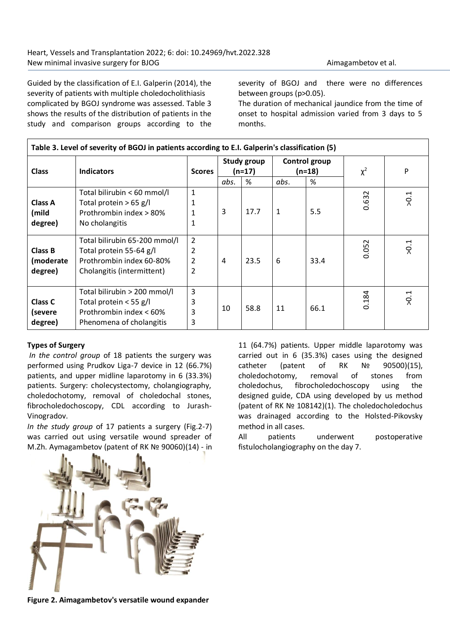Guided by the classification of E.I. Galperin (2014), the severity of patients with multiple choledocholithiasis complicated by BGOJ syndrome was assessed. Table 3 shows the results of the distribution of patients in the study and comparison groups according to the severity of BGOJ and there were no differences between groups (p>0.05).

The duration of mechanical jaundice from the time of onset to hospital admission varied from 3 days to 5 months.

| Table 3. Level of severity of BGOJ in patients according to E.I. Galperin's classification (5) |                                                                                                                    |                               |      |                       |              |                           |          |                  |
|------------------------------------------------------------------------------------------------|--------------------------------------------------------------------------------------------------------------------|-------------------------------|------|-----------------------|--------------|---------------------------|----------|------------------|
| <b>Class</b>                                                                                   | <b>Indicators</b>                                                                                                  | <b>Scores</b>                 |      | Study group<br>(n=17) |              | Control group<br>$(n=18)$ | $\chi^2$ | P                |
|                                                                                                |                                                                                                                    |                               | abs. | %                     | abs.         | %                         |          |                  |
| Class A<br>(mild<br>degree)                                                                    | Total bilirubin < 60 mmol/l<br>Total protein $> 65$ g/l<br>Prothrombin index > 80%<br>No cholangitis               | $\mathbf{1}$<br>1<br>1        | 3    | 17.7                  | $\mathbf{1}$ | 5.5                       | 0.632    | 5.0<             |
| Class B<br>(moderate<br>degree)                                                                | Total bilirubin 65-200 mmol/l<br>Total protein 55-64 g/l<br>Prothrombin index 60-80%<br>Cholangitis (intermittent) | $\overline{2}$<br>2<br>2<br>2 | 4    | 23.5                  | 6            | 33.4                      | 0.052    | 5.0 <sub>2</sub> |
| Class C<br>(severe<br>degree)                                                                  | Total bilirubin > 200 mmol/l<br>Total protein $<$ 55 g/l<br>Prothrombin index < 60%<br>Phenomena of cholangitis    | 3<br>3<br>3<br>3              | 10   | 58.8                  | 11           | 66.1                      | 0.184    | 5.0<             |

#### **Types of Surgery**

*In the control group* of 18 patients the surgery was performed using Prudkov Liga-7 device in 12 (66.7%) patients, and upper midline laparotomy in 6 (33.3%) patients. Surgery: cholecystectomy, cholangiography, choledochotomy, removal of choledochal stones, fibrocholedochoscopy, CDL according to Jurash-Vinogradov.

*In the study group* of 17 patients a surgery (Fig.2-7) was carried out using versatile wound spreader of M.Zh. Aymagambetov (patent of RK № 90060)(14) - in

11 (64.7%) patients. Upper middle laparotomy was carried out in 6 (35.3%) cases using the designed catheter (patent of RK  $N<sup>0</sup>$  90500)(15), choledochotomy, removal of stones from choledochus, fibrocholedochoscopy using the designed guide, CDA using developed by us method (patent of RK № 108142)(1). The choledocholedochus was drainaged according to the Holsted-Pikovsky method in all cases.

All patients underwent postoperative fistulocholangiography on the day 7.



**Figure 2. Aimagambetov's versatile wound expander**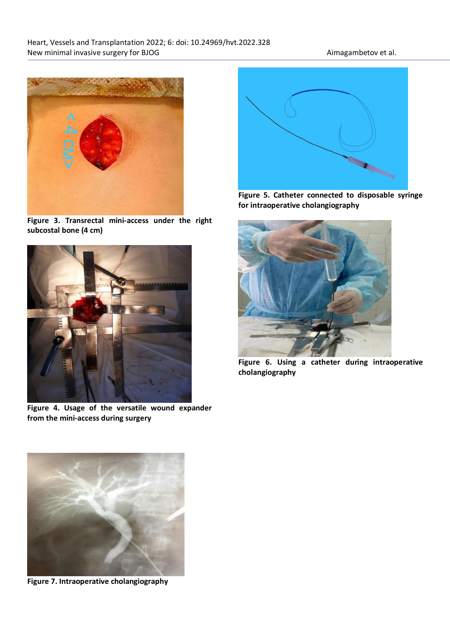

**Figure 3. Transrectal mini-access under the right subcostal bone (4 cm)**



**Figure 4. Usage of the versatile wound expander from the mini-access during surgery**



**Figure 5. Catheter connected to disposable syringe for intraoperative cholangiography**



**Figure 6. Using a catheter during intraoperative cholangiography**



**Figure 7. Intraoperative cholangiography**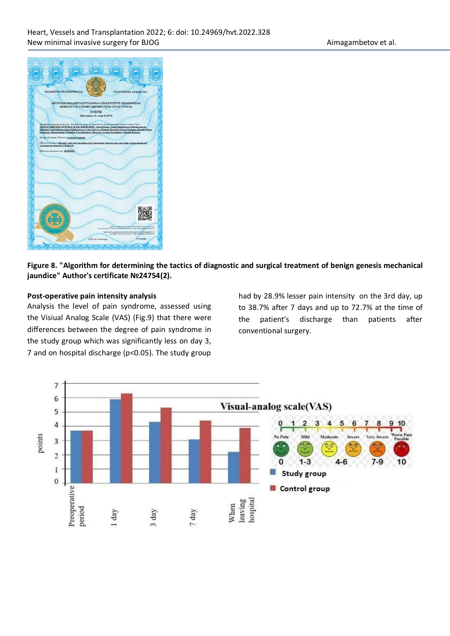

## **Figure 8. "Algorithm for determining the tactics of diagnostic and surgical treatment of benign genesis mechanical jaundice" Author's certificate №24754(2).**

## **Post-operative pain intensity analysis**

Analysis the level of pain syndrome, assessed using the Visiual Analog Scale (VAS) (Fig.9) that there were differences between the degree of pain syndrome in the study group which was significantly less on day 3, 7 and on hospital discharge (p<0.05). The study group

had by 28.9% lesser pain intensity on the 3rd day, up to 38.7% after 7 days and up to 72.7% at the time of the patient's discharge than patients after conventional surgery.

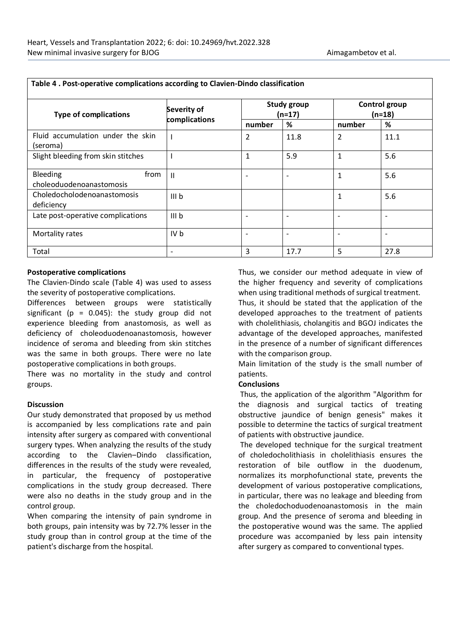| <b>Type of complications</b>                  | Severity of<br>complications |                          | <b>Study group</b><br>$(n=17)$ | Control group<br>$(n=18)$ |                          |  |
|-----------------------------------------------|------------------------------|--------------------------|--------------------------------|---------------------------|--------------------------|--|
|                                               |                              | number                   | %                              | number                    | %                        |  |
| Fluid accumulation under the skin<br>(seroma) |                              | $\overline{2}$           | 11.8                           | $\overline{2}$            | 11.1                     |  |
| Slight bleeding from skin stitches            |                              | 1                        | 5.9                            | $\mathbf{1}$              | 5.6                      |  |
| Bleeding<br>from<br>choleoduodenoanastomosis  | $\mathbf{H}$                 | $\overline{\phantom{a}}$ |                                | 1                         | 5.6                      |  |
| Choledocholodenoanastomosis<br>deficiency     | III <sub>b</sub>             |                          |                                | 1                         | 5.6                      |  |
| Late post-operative complications             | III b                        | $\overline{\phantom{a}}$ |                                | $\overline{\phantom{a}}$  | $\overline{\phantom{a}}$ |  |
| Mortality rates                               | IV b                         | $\overline{\phantom{a}}$ |                                | $\overline{\phantom{a}}$  | $\overline{\phantom{a}}$ |  |
| Total                                         | $\overline{\phantom{a}}$     | 3                        | 17.7                           | 5                         | 27.8                     |  |

## **Table 4 . Post-operative complications according to Clavien-Dindo classification**

#### **Postoperative complications**

The Clavien-Dindo scale (Table 4) was used to assess the severity of postoperative complications.

Differences between groups were statistically significant ( $p = 0.045$ ): the study group did not experience bleeding from anastomosis, as well as deficiency of choleoduodenoanastomosis, however incidence of seroma and bleeding from skin stitches was the same in both groups. There were no late postoperative complications in both groups.

There was no mortality in the study and control groups.

#### **Discussion**

Our study demonstrated that proposed by us method is accompanied by less complications rate and pain intensity after surgery as compared with conventional surgery types. When analyzing the results of the study according to the Clavien–Dindo classification, differences in the results of the study were revealed, in particular, the frequency of postoperative complications in the study group decreased. There were also no deaths in the study group and in the control group.

When comparing the intensity of pain syndrome in both groups, pain intensity was by 72.7% lesser in the study group than in control group at the time of the patient's discharge from the hospital.

Thus, we consider our method adequate in view of the higher frequency and severity of complications when using traditional methods of surgical treatment. Thus, it should be stated that the application of the

developed approaches to the treatment of patients with cholelithiasis, cholangitis and BGOJ indicates the advantage of the developed approaches, manifested in the presence of a number of significant differences with the comparison group.

Main limitation of the study is the small number of patients.

#### **Conclusions**

Thus, the application of the algorithm "Algorithm for the diagnosis and surgical tactics of treating obstructive jaundice of benign genesis" makes it possible to determine the tactics of surgical treatment of patients with obstructive jaundice.

The developed technique for the surgical treatment of choledocholithiasis in cholelithiasis ensures the restoration of bile outflow in the duodenum, normalizes its morphofunctional state, prevents the development of various postoperative complications, in particular, there was no leakage and bleeding from the choledochoduodenoanastomosis in the main group. And the presence of seroma and bleeding in the postoperative wound was the same. The applied procedure was accompanied by less pain intensity after surgery as compared to conventional types.